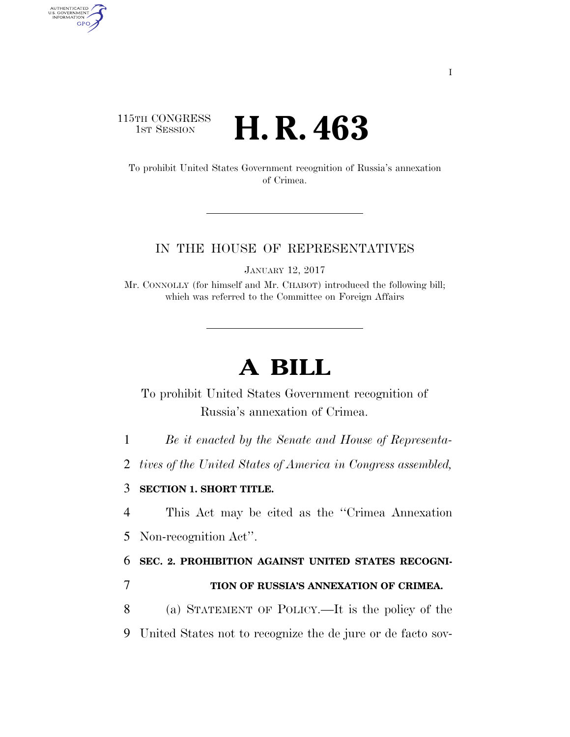## 115TH CONGRESS **1st Session H. R. 463**

AUTHENTICATED<br>U.S. GOVERNMENT<br>INFORMATION GPO

> To prohibit United States Government recognition of Russia's annexation of Crimea.

### IN THE HOUSE OF REPRESENTATIVES

JANUARY 12, 2017

Mr. CONNOLLY (for himself and Mr. CHABOT) introduced the following bill; which was referred to the Committee on Foreign Affairs

# **A BILL**

To prohibit United States Government recognition of Russia's annexation of Crimea.

1 *Be it enacted by the Senate and House of Representa-*

2 *tives of the United States of America in Congress assembled,* 

#### 3 **SECTION 1. SHORT TITLE.**

4 This Act may be cited as the ''Crimea Annexation

5 Non-recognition Act''.

6 **SEC. 2. PROHIBITION AGAINST UNITED STATES RECOGNI-**

### 7 **TION OF RUSSIA'S ANNEXATION OF CRIMEA.**

8 (a) STATEMENT OF POLICY.—It is the policy of the

9 United States not to recognize the de jure or de facto sov-